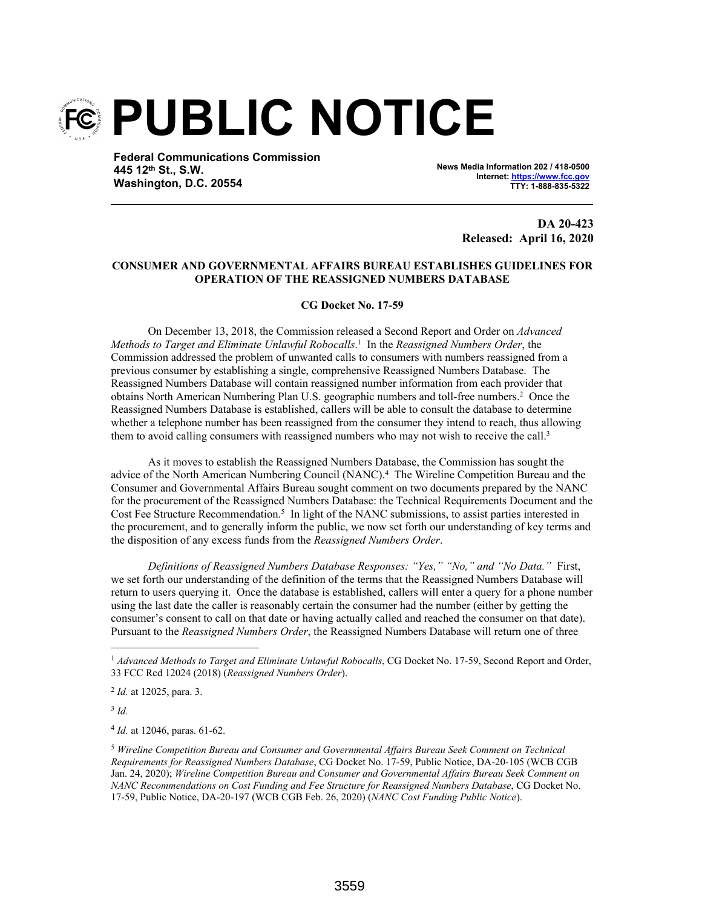

**Federal Communications Commission 445 12th St., S.W. Washington, D.C. 20554**

**News Media Information 202 / 418-0500 Internet: https://www.fcc.gov TTY: 1-888-835-5322**

> **DA 20-423 Released: April 16, 2020**

## **CONSUMER AND GOVERNMENTAL AFFAIRS BUREAU ESTABLISHES GUIDELINES FOR OPERATION OF THE REASSIGNED NUMBERS DATABASE**

## **CG Docket No. 17-59**

On December 13, 2018, the Commission released a Second Report and Order on *Advanced Methods to Target and Eliminate Unlawful Robocalls*. 1 In the *Reassigned Numbers Order*, the Commission addressed the problem of unwanted calls to consumers with numbers reassigned from a previous consumer by establishing a single, comprehensive Reassigned Numbers Database. The Reassigned Numbers Database will contain reassigned number information from each provider that obtains North American Numbering Plan U.S. geographic numbers and toll-free numbers.<sup>2</sup> Once the Reassigned Numbers Database is established, callers will be able to consult the database to determine whether a telephone number has been reassigned from the consumer they intend to reach, thus allowing them to avoid calling consumers with reassigned numbers who may not wish to receive the call.<sup>3</sup>

As it moves to establish the Reassigned Numbers Database, the Commission has sought the advice of the North American Numbering Council (NANC).<sup>4</sup> The Wireline Competition Bureau and the Consumer and Governmental Affairs Bureau sought comment on two documents prepared by the NANC for the procurement of the Reassigned Numbers Database: the Technical Requirements Document and the Cost Fee Structure Recommendation.<sup>5</sup> In light of the NANC submissions, to assist parties interested in the procurement, and to generally inform the public, we now set forth our understanding of key terms and the disposition of any excess funds from the *Reassigned Numbers Order*.

*Definitions of Reassigned Numbers Database Responses: "Yes," "No," and "No Data."* First, we set forth our understanding of the definition of the terms that the Reassigned Numbers Database will return to users querying it. Once the database is established, callers will enter a query for a phone number using the last date the caller is reasonably certain the consumer had the number (either by getting the consumer's consent to call on that date or having actually called and reached the consumer on that date). Pursuant to the *Reassigned Numbers Order*, the Reassigned Numbers Database will return one of three

3 *Id.*

4 *Id.* at 12046, paras. 61-62.

<sup>&</sup>lt;sup>1</sup> Advanced Methods to Target and Eliminate Unlawful Robocalls, CG Docket No. 17-59, Second Report and Order, 33 FCC Rcd 12024 (2018) (*Reassigned Numbers Order*).

<sup>2</sup> *Id.* at 12025, para. 3.

<sup>5</sup> *Wireline Competition Bureau and Consumer and Governmental Affairs Bureau Seek Comment on Technical Requirements for Reassigned Numbers Database*, CG Docket No. 17-59, Public Notice, DA-20-105 (WCB CGB Jan. 24, 2020); *Wireline Competition Bureau and Consumer and Governmental Affairs Bureau Seek Comment on NANC Recommendations on Cost Funding and Fee Structure for Reassigned Numbers Database*, CG Docket No. 17-59, Public Notice, DA-20-197 (WCB CGB Feb. 26, 2020) (*NANC Cost Funding Public Notice*).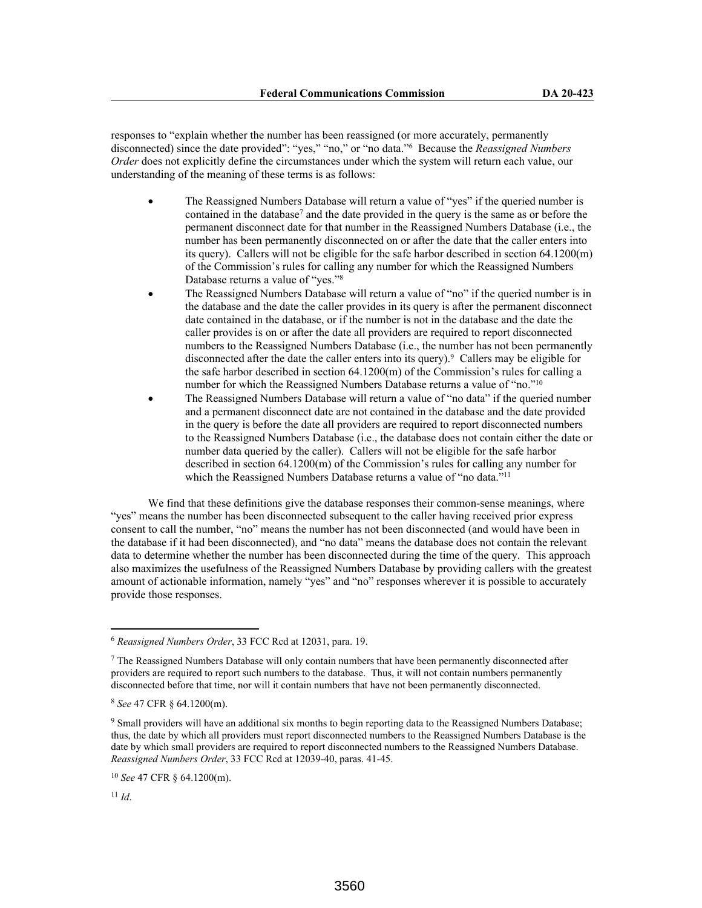responses to "explain whether the number has been reassigned (or more accurately, permanently disconnected) since the date provided": "yes," "no," or "no data."<sup>6</sup> Because the *Reassigned Numbers Order* does not explicitly define the circumstances under which the system will return each value, our understanding of the meaning of these terms is as follows:

- The Reassigned Numbers Database will return a value of "yes" if the queried number is contained in the database<sup>7</sup> and the date provided in the query is the same as or before the permanent disconnect date for that number in the Reassigned Numbers Database (i.e., the number has been permanently disconnected on or after the date that the caller enters into its query). Callers will not be eligible for the safe harbor described in section 64.1200(m) of the Commission's rules for calling any number for which the Reassigned Numbers Database returns a value of "yes."<sup>8</sup>
- The Reassigned Numbers Database will return a value of "no" if the queried number is in the database and the date the caller provides in its query is after the permanent disconnect date contained in the database, or if the number is not in the database and the date the caller provides is on or after the date all providers are required to report disconnected numbers to the Reassigned Numbers Database (i.e., the number has not been permanently disconnected after the date the caller enters into its query).<sup>9</sup> Callers may be eligible for the safe harbor described in section  $64.1200(m)$  of the Commission's rules for calling a number for which the Reassigned Numbers Database returns a value of "no."<sup>10</sup>
- The Reassigned Numbers Database will return a value of "no data" if the queried number and a permanent disconnect date are not contained in the database and the date provided in the query is before the date all providers are required to report disconnected numbers to the Reassigned Numbers Database (i.e., the database does not contain either the date or number data queried by the caller). Callers will not be eligible for the safe harbor described in section 64.1200(m) of the Commission's rules for calling any number for which the Reassigned Numbers Database returns a value of "no data."<sup>11</sup>

We find that these definitions give the database responses their common-sense meanings, where "yes" means the number has been disconnected subsequent to the caller having received prior express consent to call the number, "no" means the number has not been disconnected (and would have been in the database if it had been disconnected), and "no data" means the database does not contain the relevant data to determine whether the number has been disconnected during the time of the query. This approach also maximizes the usefulness of the Reassigned Numbers Database by providing callers with the greatest amount of actionable information, namely "yes" and "no" responses wherever it is possible to accurately provide those responses.

<sup>6</sup> *Reassigned Numbers Order*, 33 FCC Rcd at 12031, para. 19.

 $<sup>7</sup>$  The Reassigned Numbers Database will only contain numbers that have been permanently disconnected after</sup> providers are required to report such numbers to the database. Thus, it will not contain numbers permanently disconnected before that time, nor will it contain numbers that have not been permanently disconnected.

<sup>8</sup> *See* 47 CFR § 64.1200(m).

<sup>&</sup>lt;sup>9</sup> Small providers will have an additional six months to begin reporting data to the Reassigned Numbers Database; thus, the date by which all providers must report disconnected numbers to the Reassigned Numbers Database is the date by which small providers are required to report disconnected numbers to the Reassigned Numbers Database. *Reassigned Numbers Order*, 33 FCC Rcd at 12039-40, paras. 41-45.

<sup>10</sup> *See* 47 CFR § 64.1200(m).

 $^{11}$  *Id.*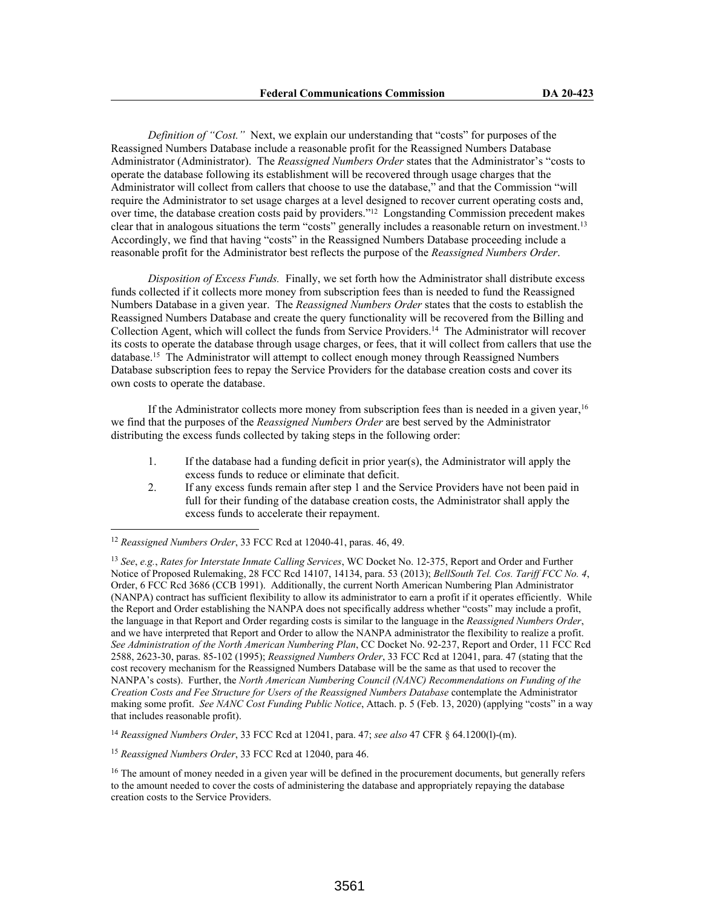*Definition of "Cost."* Next, we explain our understanding that "costs" for purposes of the Reassigned Numbers Database include a reasonable profit for the Reassigned Numbers Database Administrator (Administrator). The *Reassigned Numbers Order* states that the Administrator's "costs to operate the database following its establishment will be recovered through usage charges that the Administrator will collect from callers that choose to use the database," and that the Commission "will require the Administrator to set usage charges at a level designed to recover current operating costs and, over time, the database creation costs paid by providers."<sup>12</sup> Longstanding Commission precedent makes clear that in analogous situations the term "costs" generally includes a reasonable return on investment.<sup>13</sup> Accordingly, we find that having "costs" in the Reassigned Numbers Database proceeding include a reasonable profit for the Administrator best reflects the purpose of the *Reassigned Numbers Order*.

*Disposition of Excess Funds.* Finally, we set forth how the Administrator shall distribute excess funds collected if it collects more money from subscription fees than is needed to fund the Reassigned Numbers Database in a given year. The *Reassigned Numbers Order* states that the costs to establish the Reassigned Numbers Database and create the query functionality will be recovered from the Billing and Collection Agent, which will collect the funds from Service Providers.<sup>14</sup> The Administrator will recover its costs to operate the database through usage charges, or fees, that it will collect from callers that use the database.<sup>15</sup> The Administrator will attempt to collect enough money through Reassigned Numbers Database subscription fees to repay the Service Providers for the database creation costs and cover its own costs to operate the database.

If the Administrator collects more money from subscription fees than is needed in a given year,<sup>16</sup> we find that the purposes of the *Reassigned Numbers Order* are best served by the Administrator distributing the excess funds collected by taking steps in the following order:

- 1. If the database had a funding deficit in prior year(s), the Administrator will apply the excess funds to reduce or eliminate that deficit.
- 2. If any excess funds remain after step 1 and the Service Providers have not been paid in full for their funding of the database creation costs, the Administrator shall apply the excess funds to accelerate their repayment.

<sup>14</sup> *Reassigned Numbers Order*, 33 FCC Rcd at 12041, para. 47; *see also* 47 CFR § 64.1200(l)-(m).

<sup>12</sup> *Reassigned Numbers Order*, 33 FCC Rcd at 12040-41, paras. 46, 49.

<sup>13</sup> *See*, *e.g.*, *Rates for Interstate Inmate Calling Services*, WC Docket No. 12-375, Report and Order and Further Notice of Proposed Rulemaking, 28 FCC Rcd 14107, 14134, para. 53 (2013); *BellSouth Tel. Cos. Tariff FCC No. 4*, Order, 6 FCC Rcd 3686 (CCB 1991). Additionally, the current North American Numbering Plan Administrator (NANPA) contract has sufficient flexibility to allow its administrator to earn a profit if it operates efficiently. While the Report and Order establishing the NANPA does not specifically address whether "costs" may include a profit, the language in that Report and Order regarding costs is similar to the language in the *Reassigned Numbers Order*, and we have interpreted that Report and Order to allow the NANPA administrator the flexibility to realize a profit. *See Administration of the North American Numbering Plan*, CC Docket No. 92-237, Report and Order, 11 FCC Rcd 2588, 2623-30, paras. 85-102 (1995); *Reassigned Numbers Order*, 33 FCC Rcd at 12041, para. 47 (stating that the cost recovery mechanism for the Reassigned Numbers Database will be the same as that used to recover the NANPA's costs). Further, the *North American Numbering Council (NANC) Recommendations on Funding of the Creation Costs and Fee Structure for Users of the Reassigned Numbers Database* contemplate the Administrator making some profit. *See NANC Cost Funding Public Notice*, Attach. p. 5 (Feb. 13, 2020) (applying "costs" in a way that includes reasonable profit).

<sup>15</sup> *Reassigned Numbers Order*, 33 FCC Rcd at 12040, para 46.

<sup>&</sup>lt;sup>16</sup> The amount of money needed in a given year will be defined in the procurement documents, but generally refers to the amount needed to cover the costs of administering the database and appropriately repaying the database creation costs to the Service Providers.